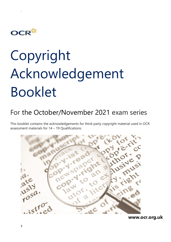

`

## Copyright Acknowledgement Booklet

## For the October/November 2021 exam series

This booklet contains the acknowledgements for third-party copyright material used in OCR assessment materials for 14 – 19 Qualifications.



**www.ocr.org.uk**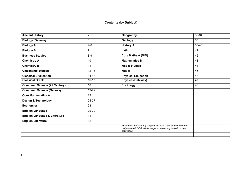## **Contents (by Subject)**

| <b>Ancient History</b>                   | $\overline{2}$  | Geography                                                                                                                                            | 33-34 |
|------------------------------------------|-----------------|------------------------------------------------------------------------------------------------------------------------------------------------------|-------|
| <b>Biology (Gateway)</b>                 | 3               | Geology                                                                                                                                              | 35    |
| <b>Biology A</b>                         | $4 - 6$         | <b>History A</b>                                                                                                                                     | 36-40 |
| <b>Biology B</b>                         | 7               | Latin                                                                                                                                                | 41    |
| <b>Business Studies</b>                  | $8-9$           | <b>Core Maths A (MEI)</b>                                                                                                                            | 42    |
| <b>Chemistry A</b>                       | 10              | <b>Mathematics B</b>                                                                                                                                 | 43    |
| <b>Chemistry B</b>                       | 11              | <b>Media Studies</b>                                                                                                                                 | 44    |
| <b>Citizenship Studies</b>               | $12 - 13$       | <b>Music</b>                                                                                                                                         | 45    |
| <b>Classical Civilisation</b>            | $14 - 16$       | <b>Physical Education</b>                                                                                                                            | 46    |
| <b>Classical Greek</b>                   | $16 - 17$       | <b>Physics (Gateway)</b>                                                                                                                             | 47    |
| <b>Combined Science (21 Century)</b>     | 18              | <b>Sociology</b>                                                                                                                                     | 48    |
| <b>Combined Science (Gateway)</b>        | 19-22           |                                                                                                                                                      |       |
| <b>Core Mathematics A</b>                | $\overline{23}$ |                                                                                                                                                      |       |
| <b>Design &amp; Technology</b>           | 24-27           |                                                                                                                                                      |       |
| <b>Economics</b>                         | 28              |                                                                                                                                                      |       |
| <b>English Language</b>                  | 29-30           |                                                                                                                                                      |       |
| <b>English Language &amp; Literature</b> | 31              |                                                                                                                                                      |       |
| <b>English Literature</b>                | 32              |                                                                                                                                                      |       |
|                                          |                 | Please assume that any subjects not listed here contain no third<br>party material. OCR will be happy to correct any omissions upon<br>notification. |       |
|                                          |                 |                                                                                                                                                      |       |

 $\Delta$  .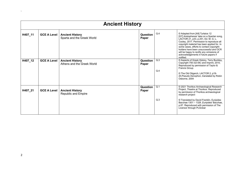|         | <b>Ancient History</b> |                                                      |                   |            |                                                                                                                                                                                                                                                                                                                                                                                                           |  |  |
|---------|------------------------|------------------------------------------------------|-------------------|------------|-----------------------------------------------------------------------------------------------------------------------------------------------------------------------------------------------------------------------------------------------------------------------------------------------------------------------------------------------------------------------------------------------------------|--|--|
| H407_11 | <b>GCE A Level</b>     | <b>Ancient History</b><br>Sparta and the Greek World | Question<br>Paper | Q.4        | © Adapted from [A9] Tyrtaios 12<br>[G7] Aristophanes' take on a Spartan song,<br>LACTOR 21, p33, p.251, Ed. M. G. L.<br>Cooley, 2017. Permission to reproduce all<br>copyright material has been applied for. In<br>some cases, efforts to contact copyright-<br>holders have been unsuccessful and OCR<br>will be happy to rectify any omissions of<br>acknowledgements in future papers if<br>notified. |  |  |
| H407_12 | <b>GCE A Level</b>     | <b>Ancient History</b><br>Athens and the Greek World | Question<br>Paper | Q.3<br>Q.4 | © Aspects of Greek History, Terry Buckley,<br>Copyright 750-323 BC and Imprint, 2010.<br>Reproduced by permission of Taylor &<br>Francis Group.<br>© The Old Oligarch, LACTOR 2, p19-<br>20, Pseudo-Xenophon, translated by Robin<br>Osborne, 2004                                                                                                                                                        |  |  |
| H407_21 | <b>GCE A Level</b>     | <b>Ancient History</b><br>Republic and Empire        | Question<br>Paper | Q.1<br>Q.3 | © 2021 Thorikos Archaeological Research<br>Project, Theatre at Thorikos. Reproduced<br>by permission of Thorikos archaeological<br>research project<br>© Translated by David Franklin, Euripides                                                                                                                                                                                                          |  |  |
|         |                        |                                                      |                   |            | Bacchae 1301 - 1328 , Euripides' Bacchae,<br>p.87. Reproduced with permission of The<br>Licensor through PLSclear                                                                                                                                                                                                                                                                                         |  |  |

 $\Delta \sim 10^{11}$  m  $^{-1}$  m  $^{-1}$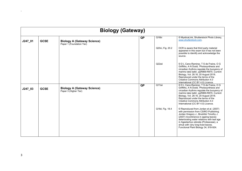|           | <b>Biology (Gateway)</b> |                                                                 |    |                  |                                                                                                                                                                                                                                                                                                                                            |  |
|-----------|--------------------------|-----------------------------------------------------------------|----|------------------|--------------------------------------------------------------------------------------------------------------------------------------------------------------------------------------------------------------------------------------------------------------------------------------------------------------------------------------------|--|
| J247_01   | <b>GCSE</b>              | <b>Biology A (Gateway Science)</b><br>Paper 1 (Foundation Tier) | QP | Q16bi            | © MysticaLink, Shutterstock Photo Library,<br>www.shutterstock.com.                                                                                                                                                                                                                                                                        |  |
|           |                          |                                                                 |    | Q20ci, Fig. 20.2 | OCR is aware that third party material<br>appeared in this exam but it has not been<br>possible to identify and acknowledge the<br>source.                                                                                                                                                                                                 |  |
|           |                          |                                                                 |    | Q22aii           | © D L Cano-Ramirez, T S de Fraine, O G<br>Griffiths, A N Dodd, 'Photosynthesis and<br>circadian rhythms regulate the buoyancy of<br>marimo lake balls', ppR869-R870, Current<br>Biology, Vol. 28.16, 20 August 2018.<br>Reproduced under the terms of the<br>Creative Commons Attribution 4.0<br>International (CC BY 4.0) Licence.        |  |
| $J247_03$ | <b>GCSE</b>              | <b>Biology A (Gateway Science)</b><br>Paper 3 (Higher Tier)     | QP | Q17aii           | © D L Cano-Ramirez, T S de Fraine, O G<br>Griffiths, A N Dodd, 'Photosynthesis and<br>circadian rhythms regulate the buoyancy of<br>marimo lake balls', ppR869-R870, Current<br>Biology, Vol. 28.16, 20 August 2018.<br>Reproduced under the terms of the<br>Creative Commons Attribution 4.0<br>International (CC BY 4.0) Licence.        |  |
|           |                          |                                                                 |    | Q18d, Fig. 18.4  | © Reproduced from Jordan et al. (2007)<br>with permission from CSIRO Publishing.<br>Jordan Gregory J., Brodribb Timothy J.<br>(2007) Incontinence in ageing leaves:<br>deteriorating water relations with leaf age<br>in Agastachys odorata (Proteaceae), a<br>shrub with very long-lived leaves.<br>Functional Plant Biology 34, 918-924. |  |

**All Contract Contract**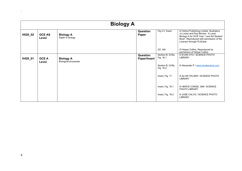|         | <b>Biology A</b>       |                                                 |                                 |                               |                                                                                                                                                                                                      |  |  |
|---------|------------------------|-------------------------------------------------|---------------------------------|-------------------------------|------------------------------------------------------------------------------------------------------------------------------------------------------------------------------------------------------|--|--|
| H020_02 | <b>GCE AS</b><br>Level | <b>Biology A</b><br>Depth in biology            | Question<br>Paper               | Fig 2.3, Insert               | © Oxford Publishing Limited. Illustrators<br>Jo Locke and Paul Bircher, 'A Level<br>Biology A for OCR Year 1 and AS Student<br>Book'. Reproduced with permission of the<br>Licensor through PLSclear |  |  |
|         |                        |                                                 |                                 | Q3. 3dii                      | © Harper Collins, Reproduced by<br>permission of Harper Collins                                                                                                                                      |  |  |
| H420_01 | <b>GCE A</b><br>Level  | <b>Biology A</b><br><b>Biological processes</b> | Question<br><b>Paper/Insert</b> | Section B, Q16a,<br>Fig. 16.1 | © EVAN OTO / SCIENCE PHOTO<br>LIBRARY                                                                                                                                                                |  |  |
|         |                        |                                                 |                                 | Section B, Q16b,<br>Fig. 16.2 | © Alexander P / www.shutterstock.com                                                                                                                                                                 |  |  |
|         |                        |                                                 |                                 | Insert, Fig. 17               | © ALVIN TELSER / SCIENCE PHOTO<br>LIBRARY                                                                                                                                                            |  |  |
|         |                        |                                                 |                                 | Insert, Fig. 18.1             | © HERVE CONGE, ISM / SCIENCE<br>PHOTO LIBRARY                                                                                                                                                        |  |  |
|         |                        |                                                 |                                 | Insert, Fig. 18.2             | © JOSE CALVO / SCIENCE PHOTO<br><b>LIBRARY</b>                                                                                                                                                       |  |  |

 $\mathbf{X}^{(n)}$  and  $\mathbf{X}^{(n)}$  are  $\mathbf{X}^{(n)}$  .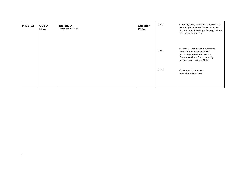| H420_02 | <b>GCE A</b><br>Level | <b>Biology A</b><br><b>Biological diversity</b> | Question<br>Paper | Q20a | © Hendry et al, 'Disruptive selection in a<br>bimodal population of Darwin's finches,<br>Proceedings of the Royal Society, Volume<br>276, 2008, 30/09/2019              |
|---------|-----------------------|-------------------------------------------------|-------------------|------|-------------------------------------------------------------------------------------------------------------------------------------------------------------------------|
|         |                       |                                                 |                   | Q20c | © Mark C. Urban et al, Asymmetric<br>selection and the evolution of<br>extraordinary defences, Nature<br>Communications. Reproduced by<br>permission of Springer Nature |
|         |                       |                                                 |                   | Q17b | © mirceax, Shutterstock,<br>www.shutterstock.com                                                                                                                        |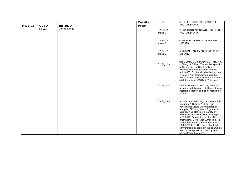| H420_03 | <b>GCE A</b> | <b>Biology A</b> | Question<br>Paper | Q1, Fig. 1.1             | © DR KEITH WHEELER / SCIENCE<br>PHOTO LIBRARY                                                                                                                                                                                                                                                                                                                                                                                                                                                                                              |
|---------|--------------|------------------|-------------------|--------------------------|--------------------------------------------------------------------------------------------------------------------------------------------------------------------------------------------------------------------------------------------------------------------------------------------------------------------------------------------------------------------------------------------------------------------------------------------------------------------------------------------------------------------------------------------|
|         | Level        | Unified biology  |                   | Q2, Fig. 2.1,<br>image D | © BIOPHOTO ASSOCIATES / SCIENCE<br>PHOTO LIBRARY                                                                                                                                                                                                                                                                                                                                                                                                                                                                                           |
|         |              |                  |                   | Q2, Fig. 2.1,<br>image C | © MICHAEL ABBEY / SCIENCE PHOTO<br><b>LIBRARY</b>                                                                                                                                                                                                                                                                                                                                                                                                                                                                                          |
|         |              |                  |                   | Q2, Fig. 2.1,<br>image E | © MICHAEL ABBEY / SCIENCE PHOTO<br><b>LIBRARY</b>                                                                                                                                                                                                                                                                                                                                                                                                                                                                                          |
|         |              |                  |                   | Q2, Fig. 2.3             | ©R E Diner, S M Schwenck, J P McCrow,<br>H Zheng, A E Allen, 'Genetic Manipulation<br>of Competition for Nitrate between<br>Heterotrophic Bacteria and Diatoms',<br>Article 880, Frontiers in Microbiology, Vol.<br>7, June 2016. Reproduced under the<br>terms of the CreativeCommons Attribution<br>4.0 International (CC BY 4.0) licence.                                                                                                                                                                                               |
|         |              |                  |                   | Q4, Fig. 4.3             | OCR is aware that third party material<br>appeared in this exam but it has not been<br>possible to identify and acknowledge the<br>source                                                                                                                                                                                                                                                                                                                                                                                                  |
|         |              |                  |                   | Q5, Fig. 5.3             | Adapted from © K Daigo, Y Nakano, B E<br>Casareto, Y Suzuki, Y Shioi, 'High-<br>performance Liquid Chromatographic<br>Analysis of Photosynthetic Pigments in<br>Corals: An Existence of a Variety of<br>Epizoic, Endozoic and Endolithic Algae ',<br>pp123-127, Proceedings of the 11th<br>International Coral Reef Symposium, Ft.<br>Lauderdale, Florida, Session number 5, 7-<br>11 July 2008. OCR is aware that third<br>party material appeared in this exam but it<br>has not been possible to identify and<br>acknowledge the source |

`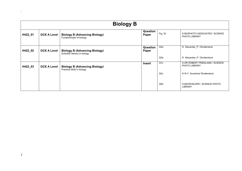|         | <b>Biology B</b>   |                                                                        |                   |                  |                                                         |  |  |
|---------|--------------------|------------------------------------------------------------------------|-------------------|------------------|---------------------------------------------------------|--|--|
| H422_01 | <b>GCE A Level</b> | <b>Biology B (Advancing Biology)</b><br>Fundamentals of biology        | Question<br>Paper | Fig. 32          | © BIOPHOTO ASSOCIATES / SCIENCE<br>PHOTO LIBRARY        |  |  |
| H422_02 | <b>GCE A Level</b> | <b>Biology B (Advancing Biology)</b><br>Scientific literacy in biology | Question<br>Paper | Q3a              | © Alexander P / Shutterstock                            |  |  |
|         |                    |                                                                        |                   | Q3a              | © Alexander P / Shutterstock                            |  |  |
| H422_03 | <b>GCE A Level</b> | <b>Biology B (Advancing Biology)</b><br>Practical skills in biology    | Insert            | Q <sub>1</sub> c | © DR ROBERT FRIEDLAND / SCIENCE<br><b>PHOTO LIBRARY</b> |  |  |
|         |                    |                                                                        |                   | Q3c              | © W.Y. Sunshine/ Shutterstock                           |  |  |
|         |                    |                                                                        |                   | Q <sub>5</sub> b | © MICROSCAPE / SCIENCE PHOTO<br><b>LIBRARY</b>          |  |  |

 $\Delta \sim 10^{11}$  and  $\Delta \sim 10^{11}$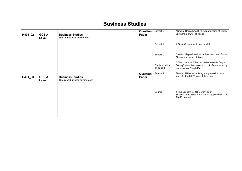|         | <b>Business Studies</b> |                                                            |                   |                               |                                                                                                                                 |  |  |
|---------|-------------------------|------------------------------------------------------------|-------------------|-------------------------------|---------------------------------------------------------------------------------------------------------------------------------|--|--|
| H431_02 | <b>GCE A</b><br>Level   | <b>Business Studies</b><br>The UK business environment     | Question<br>Paper | Extract B                     | ©Keeko. Reproduced by kind permission of Sarah<br>Chinnaraja, owner of Keeko.                                                   |  |  |
|         |                         |                                                            |                   | <b>Extract A</b>              | © Open Government Licence v3.0                                                                                                  |  |  |
|         |                         |                                                            |                   | Extract C                     | © keeko. Reproduced by kind permission of Sarah<br>Chinnaraja, owner of Keeko.                                                  |  |  |
|         |                         |                                                            |                   | Quote in italics<br>on page 4 | © The Liverpool Echo, 'Inside Merseyside Crayon<br>Factory', www.liverpoolecho.co.uk. Reproduced by<br>permission of Reach Plc. |  |  |
| H431_03 | <b>GCE A</b><br>Level   | <b>Business Studies</b><br>The global business environment | Question<br>Paper | Source A                      | Statista, 'Nike's advertising and promotion costs<br>from 2014 to 2021' www.statista.com                                        |  |  |
|         |                         |                                                            |                   | Source F                      | © The Economist, 'Nike: Don't do it',<br>www.economit.com. Reproduced by permission of<br>The Economist.                        |  |  |
|         |                         |                                                            |                   |                               |                                                                                                                                 |  |  |

 $\Delta$  . The same  $\Delta$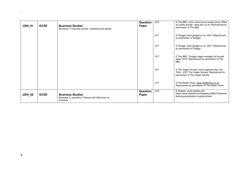| J204_02   | <b>GCSE</b> | <b>Business Studies</b><br>Business 2: operations, finance and influences on<br>business | Question<br>Paper | Q16 | © Statista, www.statista.com.<br>https://www.statista.com/statistics/286273/internet-<br>banking-penetration-in-great-britain/ |
|-----------|-------------|------------------------------------------------------------------------------------------|-------------------|-----|--------------------------------------------------------------------------------------------------------------------------------|
|           |             |                                                                                          |                   | Q17 | © The Retail Times, www.retailtimes.co.uk.<br>Reproduced by permission of The Retail Times.                                    |
|           |             |                                                                                          |                   | Q17 | © The Vegan Society, www.vegansociety.com.<br>1944 - 2021 The Vegan Society. Reproduced by<br>permission of The Vegan Society. |
|           |             |                                                                                          |                   | Q17 | © The BBC, 'Greggs vegan sausage roll boosts<br>sales, 2019. Reproduced by permission of The<br>BBC.                           |
|           |             |                                                                                          |                   | Q17 | © Greggs, www.greggs.co.uk, 2021. Reproduced<br>by permission of Greggs.                                                       |
|           |             |                                                                                          |                   | Q17 | © Greggs, www.greggs.co.uk, 2021. Reproduced<br>by permission of Greggs.                                                       |
| $J204_01$ | <b>GCSE</b> | <b>Business Studies</b><br>Business 1: business activity, marketing and people           | Question<br>Paper | Q16 | © The BBC 'John Lewis bonus lowest since 1950s<br>as profits plunge', www.bbc.co.uk. Reproduced by<br>permission of The BBC.   |

 $\Delta$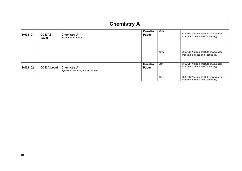|         | <b>Chemistry A</b>     |                                                           |                   |      |                                                                             |  |  |
|---------|------------------------|-----------------------------------------------------------|-------------------|------|-----------------------------------------------------------------------------|--|--|
| H032_01 | <b>GCE AS</b><br>Level | <b>Chemistry A</b><br>Breadth in chemistry                | Question<br>Paper | Q25e | © SDBS, National Institute of Advanced<br>Industrial Science and Technology |  |  |
|         |                        |                                                           |                   | Q25e | © SDBS, National Institute of Advanced<br>Industrial Science and Technology |  |  |
| H432_02 | <b>GCE A Level</b>     | <b>Chemistry A</b><br>Synthesis and analytical techniques | Question<br>Paper | Q11  | © SDBS, National Institute of Advanced<br>Industrial Science and Technology |  |  |
|         |                        |                                                           |                   | Q5c  | © SDBS, National Institute of Advanced<br>Industrial Science and Technology |  |  |

 $\Delta \sim 10^4$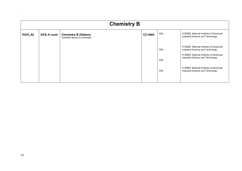| <b>Chemistry B</b> |                    |                                                                  |               |            |                                                                                                                                                            |  |
|--------------------|--------------------|------------------------------------------------------------------|---------------|------------|------------------------------------------------------------------------------------------------------------------------------------------------------------|--|
| H433_02            | <b>GCE A Level</b> | <b>Chemistry B (Salters)</b><br>Scientific literacy in chemistry | <b>CC-ANA</b> | Q3e        | © SDBS, National Institute of Advanced<br>Industrial Science and Technology                                                                                |  |
|                    |                    |                                                                  |               | Q3e<br>Q3e | © SDBS, National Institute of Advanced<br>Industrial Science and Technology<br>© SDBS, National Institute of Advanced<br>Industrial Science and Technology |  |
|                    |                    |                                                                  |               | Q3e        | © SDBS, National Institute of Advanced<br>Industrial Science and Technology                                                                                |  |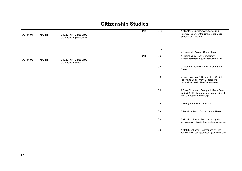|         | <b>Citizenship Studies</b> |                                                          |           |                |                                                                                                                     |  |  |
|---------|----------------------------|----------------------------------------------------------|-----------|----------------|---------------------------------------------------------------------------------------------------------------------|--|--|
| J270_01 | <b>GCSE</b>                | <b>Citizenship Studies</b><br>Citizenship in perspective | <b>QP</b> | Q13            | © Ministry of Justice, www.gov.org.uk.<br>Reproduced under the terms of the Open<br>Government Licence.             |  |  |
|         |                            |                                                          |           | Q14            | © Newsphoto / Alamy Stock Photo                                                                                     |  |  |
| J270_02 | <b>GCSE</b>                | <b>Citizenship Studies</b><br>Citizenship in action      | QP        | Q6             | © Published by Open Democracy.<br>creativecommons.org/licenses/by-nc/4.0/                                           |  |  |
|         |                            |                                                          |           | Q <sub>6</sub> | © George Cracknell Wright / Alamy Stock<br>Photo                                                                    |  |  |
|         |                            |                                                          |           | Q <sub>6</sub> | © Susan Watson, PhD Candidate, Social<br>Policy and Social Work Department,<br>University of York, The Conversation |  |  |
|         |                            |                                                          |           | Q <sub>6</sub> | © Rosa Silverman / Telegraph Media Group<br>Limited 2019. Reproduced by permission of<br>the Telegraph Media Group. |  |  |
|         |                            |                                                          |           | Q8             | © Zefrog / Alamy Stock Photo                                                                                        |  |  |
|         |                            |                                                          |           | Q8             | © Penelope Barritt / Alamy Stock Photo                                                                              |  |  |
|         |                            |                                                          |           | Q9             | © Mr SJL Johnson. Reproduced by kind<br>permission of stevejljohnson@btinternet.com                                 |  |  |
|         |                            |                                                          |           | Q <sub>9</sub> | © Mr SJL Johnson. Reproduced by kind<br>permission of stevejljohnson@btinternet.com                                 |  |  |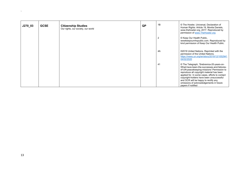| J270_03 | <b>GCSE</b> | <b>Citizenship Studies</b><br>Our rights, our society, our world | QP | 1B             | © The Howler, Universal, Declaration of<br>Human Rights: Article 19, Montia Daniels,<br>www.thehowler.org, 2017. Reproduced by<br>permission of www.TheHowler.org                                                                                                                                                                                                                         |
|---------|-------------|------------------------------------------------------------------|----|----------------|-------------------------------------------------------------------------------------------------------------------------------------------------------------------------------------------------------------------------------------------------------------------------------------------------------------------------------------------------------------------------------------------|
|         |             |                                                                  |    | $\overline{2}$ | © Keep Our Health Public,<br>www.keepournhspublic.com. Reproduced by<br>kind permission of Keep Our Health Public.                                                                                                                                                                                                                                                                        |
|         |             |                                                                  |    | 4A             | ©2019 United Nations. Reprinted with the<br>permission of the United Nations.<br>https://news.un.org/en/story/2019/12/1052941<br>04/02/2020                                                                                                                                                                                                                                               |
|         |             |                                                                  |    | 41             | © The Telegraph, 'Srebrenica-20-years-on-<br>What-have-been-the-successes-and-failures-<br>of-UN-peacekeeping-missions' Permission to<br>reproduce all copyright material has been<br>applied for. In some cases, efforts to contact<br>copyright-holders have been unsuccessful<br>and OCR will be happy to rectify any<br>omissions of acknowledgements in future<br>papers if notified |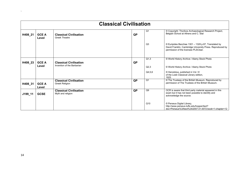|         | <b>Classical Civilisation</b> |                                                             |           |                |                                                                                                                                                          |  |  |  |
|---------|-------------------------------|-------------------------------------------------------------|-----------|----------------|----------------------------------------------------------------------------------------------------------------------------------------------------------|--|--|--|
| H408_21 | <b>GCE A</b><br>Level         | <b>Classical Civilisation</b><br><b>Greek Theatre</b>       | <b>QP</b> | Q <sub>1</sub> | © Copyright: Thorikos Archaeological Research Project,<br>Belgian School at Athens and C. Stal                                                           |  |  |  |
|         |                               |                                                             |           | Q <sub>3</sub> | © Euripides Bacchae 1301 - 1328 p.87, Translated by<br>David Franklin, Cambridge University Press. Reproduced by<br>permission of the licensee PLSClear. |  |  |  |
| H408_23 | <b>GCE A</b><br>Level         | <b>Classical Civilisation</b><br>Invention of the Barbarian | QP        | Q1,3<br>Q2,3   | © World History Archive / Alamy Stock Photo<br>© World History Archive / Alamy Stock Photo                                                               |  |  |  |
|         |                               |                                                             |           | Q4,5,6         | © Herodotus, published in Vol. IV<br>of the Loeb Classical Library edition,<br>1925.                                                                     |  |  |  |
| H408_31 | <b>GCE A</b><br>Level         | <b>Classical Civilisation</b><br>Greek Religion             | QP        | Q <sub>1</sub> | © The Trustees of the British Museum. Reproduced by<br>permission of The Trustees of the British Museum.                                                 |  |  |  |
| J199_11 | <b>GCSE</b>                   | <b>Classical Civilisation</b><br>Myth and religion          | QP        | Q9             | OCR is aware that third party material appeared in this<br>exam but it has not been possible to identify and<br>acknowledge the source.                  |  |  |  |
|         |                               |                                                             |           | Q10            | © Perseus Digital Library,<br>http://www.perseus.tufts.edu/hopper/text?<br>doc=Perseus%3Atext%3A2007.01.0072:book=1:chapter=12                           |  |  |  |

 $\Delta \sim 10^{11}$  m  $^{-1}$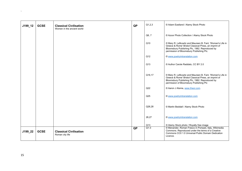| J199_12 | <b>GCSE</b> | <b>Classical Civilisation</b><br>Women in the ancient world | <b>QP</b> | Q1,2,3          | © Adam Eastland / Alamy Stock Photo                                                                                                                                                                              |
|---------|-------------|-------------------------------------------------------------|-----------|-----------------|------------------------------------------------------------------------------------------------------------------------------------------------------------------------------------------------------------------|
|         |             |                                                             |           | Q6, 7           | © Azoor Photo Collection / Alamy Stock Photo                                                                                                                                                                     |
|         |             |                                                             |           | Q10             | © Mary R. Lefkowitz and Maureen B. Fant, 'Women's Life in<br>Greece & Rome' Bristol Classical Press, an imprint of<br>Bloomsbury Publishing Plc, 1982. Reproduced by<br>permission of Bloomsbury Publishing Plc. |
|         |             |                                                             |           | Q12             | © www.poetryintranslation.com                                                                                                                                                                                    |
|         |             |                                                             |           | Q13             | © Author Carole Raddato, CC BY 2.0                                                                                                                                                                               |
|         |             |                                                             |           | Q16,17          | © Mary R. Lefkowitz and Maureen B. Fant, 'Women's Life in<br>Greece & Rome' Bristol Classical Press, an imprint of<br>Bloomsbury Publishing Plc, 1982. Reproduced by<br>permission of Bloomsbury Publishing Plc  |
|         |             |                                                             |           | Q22             | © Aaron J Atsma, www.theoi.com.                                                                                                                                                                                  |
|         |             |                                                             |           | Q <sub>25</sub> | © www.poetryintranslation.com                                                                                                                                                                                    |
|         |             |                                                             |           | Q26,28          | © Martin Beddall / Alamy Stock Photo                                                                                                                                                                             |
|         |             |                                                             |           | 26,27           | © www.poetryintranslation.com                                                                                                                                                                                    |
|         |             |                                                             |           | Q13             | © Alamy Stock photo / Royalty free image                                                                                                                                                                         |
| J199_22 | <b>GCSE</b> | <b>Classical Civilisation</b><br>Roman city life            | <b>QP</b> | $Q1-3$          | © Menander, Roman Fresco in Pompeii, Italy, Wikimedia<br>Commons. Reproduced under the terms of a Creative<br>Commons CC0 1.0 Universal Public Domain Dedication<br>Licence.                                     |

 $\Delta$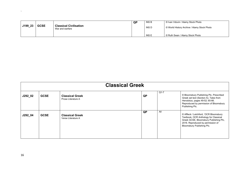|         |             |                                                  | QP | <b>INS B</b> | © Ivan Vdovin / Alamy Stock Photo           |
|---------|-------------|--------------------------------------------------|----|--------------|---------------------------------------------|
| J199_23 | <b>GCSE</b> | <b>Classical Civilisation</b><br>War and warfare |    | <b>INSD</b>  | © World History Archive / Alamy Stock Photo |
|         |             |                                                  |    | <b>INSE</b>  | © Ruth Swan / Alamy Stock Photo             |

| <b>Classical Greek</b> |             |                                              |           |        |                                                                                                                                                                                              |  |  |
|------------------------|-------------|----------------------------------------------|-----------|--------|----------------------------------------------------------------------------------------------------------------------------------------------------------------------------------------------|--|--|
| J292_02                | <b>GCSE</b> | <b>Classical Greek</b><br>Prose Literature A | QP        | $Q1-7$ | © Bloomsbury Publishing Plc, Prescribed<br>Greek set text (Section A). Tales from<br>Herodotus, pages 49-52; 65-66.<br>Reproduced by permission of Bloomsbury<br>Publishing Plc.             |  |  |
| J292_04                | <b>GCSE</b> | <b>Classical Greek</b><br>Verse Literature A | <b>QP</b> | All    | © Affleck / Letchford, 'OCR Bloomsbury<br>Textbook, OCR Anthology for Classical<br>Greek GCSE, Bloomsbury Publishing Plc,<br>2016. Reproduced by permission of<br>Bloomsbury Publishing Plc. |  |  |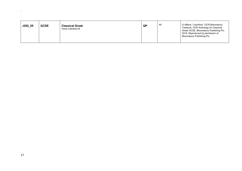| J292_05 | <b>GCSE</b> | <b>Classical Greek</b><br>Verse Literature B | QP | All | © Affleck / Letchford, 'OCR Bloomsbury<br>Textbook, OCR Anthology for Classical<br>Greek GCSE, Bloomsbury Publishing Plc,<br>2016. Reproduced by permission of<br>Bloomsbury Publishing Plc. |
|---------|-------------|----------------------------------------------|----|-----|----------------------------------------------------------------------------------------------------------------------------------------------------------------------------------------------|
|---------|-------------|----------------------------------------------|----|-----|----------------------------------------------------------------------------------------------------------------------------------------------------------------------------------------------|

 $\Delta \sim 10^{11}$  and  $\Delta \sim 10^{11}$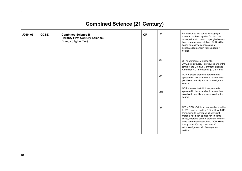|         | <b>Combined Science (21 Century)</b> |                                                                                      |           |                |                                                                                                                                                                                                                                                                                                                                                                  |  |  |  |  |
|---------|--------------------------------------|--------------------------------------------------------------------------------------|-----------|----------------|------------------------------------------------------------------------------------------------------------------------------------------------------------------------------------------------------------------------------------------------------------------------------------------------------------------------------------------------------------------|--|--|--|--|
| J260_05 | <b>GCSE</b>                          | <b>Combined Science B</b><br>(Twenty First Century Science)<br>Biology (Higher Tier) | <b>QP</b> | Q <sub>1</sub> | Permission to reproduce all copyright<br>material has been applied for. In some<br>cases, efforts to contact copyright-holders<br>have been unsuccessful and OCR will be<br>happy to rectify any omissions of<br>acknowledgements in future papers if<br>notified.                                                                                               |  |  |  |  |
|         |                                      |                                                                                      |           | Q <sub>5</sub> | © The Company of Biologists,<br>www.biologists.org. Reproduced under the<br>terms of the Creative Commons Licence<br>Attribution 4.0 International (CC BY 4.0)                                                                                                                                                                                                   |  |  |  |  |
|         |                                      |                                                                                      |           | Q7             | OCR is aware that third party material<br>appeared in this exam but it has not been<br>possible to identify and acknowledge the<br>source.                                                                                                                                                                                                                       |  |  |  |  |
|         |                                      |                                                                                      |           | Q4d            | OCR is aware that third party material<br>appeared in this exam but it has not been<br>possible to identify and acknowledge the<br>source.                                                                                                                                                                                                                       |  |  |  |  |
|         |                                      |                                                                                      |           | Q3             | © The BBC, 'Call to screen newborn babies<br>for 22q genetic condition', Sian Lloyd, 2018.<br>Permission to reproduce all copyright<br>material has been applied for. In some<br>cases, efforts to contact copyright-holders<br>have been unsuccessful and OCR will be<br>happy to rectify any omissions of<br>acknowledgements in future papers if<br>notified. |  |  |  |  |

 $\Delta$  .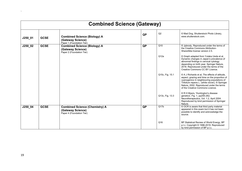| <b>Combined Science (Gateway)</b> |             |                                                                                         |           |                 |                                                                                                                                                                                                                                                                                 |  |  |  |
|-----------------------------------|-------------|-----------------------------------------------------------------------------------------|-----------|-----------------|---------------------------------------------------------------------------------------------------------------------------------------------------------------------------------------------------------------------------------------------------------------------------------|--|--|--|
| $J250_01$                         | <b>GCSE</b> | <b>Combined Science (Biology) A</b><br>(Gateway Science)<br>Paper 1 (Foundation Tier)   | <b>QP</b> | Q2              | © Mad Dog, Shutterstock Photo Library,<br>www.shutterstock.com.                                                                                                                                                                                                                 |  |  |  |
| $J250_02$                         | <b>GCSE</b> | <b>Combined Science (Biology) A</b><br>(Gateway Science)<br>Paper 2 (Foundation Tier)   | <b>QP</b> | Q10             | © Jpbrody, Reproduced under the terms of<br>the Creative Commons Attribution-<br>ShareAlike license version 2.5.                                                                                                                                                                |  |  |  |
|                                   |             |                                                                                         |           | Q12a            | © Graph adapted from Yutaka Ueda et al,<br>Dynamic changes in Japan's prevalence of<br>abnormal findings in cervical cytology<br>depending on birth year, Springer Nature,<br>2018. Reproduced under the terms of the<br>Creative Commons CC BY Licence.                        |  |  |  |
|                                   |             |                                                                                         |           | Q15c, Fig. 15.1 | © A J Richards et al, The effects of altitude,<br>aspect, grazing and time on the proportion of<br>cyanogenics in neighbouring populations of<br>Trifolium repens L. (white clover), © Springer<br>Nature, 2002. Reproduced under the terms<br>of the Creative Commons Licence. |  |  |  |
|                                   |             |                                                                                         |           | Q13c, Fig. 13.3 | © R H Myers, 'Huntington's disease<br>genetics', Fig. 1, pp255-262,<br>Neurotherapeutics, Vol. 1.2, April 2004.<br>Reproduced by kind permission of Springer<br>Nature.                                                                                                         |  |  |  |
| J250_04                           | <b>GCSE</b> | <b>Combined Science (Chemistry) A</b><br>(Gateway Science)<br>Paper 4 (Foundation Tier) | <b>QP</b> | Q17b            | © OCR is aware that third party material<br>appeared in this exam but it has not been<br>possible to identify and acknowledge the<br>source.                                                                                                                                    |  |  |  |
|                                   |             |                                                                                         |           | Q16             | BP Statistical Review of World Energy, BP<br>p.l.c. Copyright © 1996-2019. Reproduced<br>by kind permission of BP p.l.c.                                                                                                                                                        |  |  |  |

 $\Delta \sim 10^{11}$  m  $^{-1}$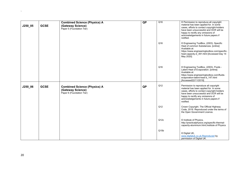|         |             | <b>Combined Science (Physics) A</b>                                                   | $\overline{QP}$ | Q16              | © Permission to reproduce all copyright                                                                                                                                                                                                                            |
|---------|-------------|---------------------------------------------------------------------------------------|-----------------|------------------|--------------------------------------------------------------------------------------------------------------------------------------------------------------------------------------------------------------------------------------------------------------------|
| J250_05 | <b>GCSE</b> | (Gateway Science)<br>Paper 5 (Foundation Tier)                                        |                 |                  | material has been applied for. In some<br>cases, efforts to contact copyright-holders<br>have been unsuccessful and OCR will be<br>happy to rectify any omissions of<br>acknowledgements in future papers if<br>notified.                                          |
|         |             |                                                                                       |                 | Q16              | © Engineering ToolBox, (2003). Specific<br>Heat of common Substances. [online]<br>Available at:<br>https://www.engineeringtoolbox.com/specific-<br>heat-capacity-d 391.html [Accessed Day 14<br>May 2020]                                                          |
|         |             |                                                                                       |                 | Q16              | © Engineering ToolBox, (2003). Fluids -<br>Latent Heat of Evaporation. [online]<br>Available at:<br>https://www.engineeringtoolbox.com/fluids-<br>evaporation-latent-heat-d 147.html<br>[Accessed22/11/2019]                                                       |
| J250_06 | <b>GCSE</b> | <b>Combined Science (Physics) A</b><br>(Gateway Science)<br>Paper 6 (Foundation Tier) | <b>QP</b>       | Q12              | Permission to reproduce all copyright<br>material has been applied for. In some<br>cases, efforts to contact copyright-holders<br>have been unsuccessful and OCR will be<br>happy to rectify any omissions of<br>acknowledgements in future papers if<br>notified. |
|         |             |                                                                                       |                 | Q <sub>12</sub>  | Crown Copyright. The Official Highway<br>Code, 2019. Reproduced under the terms of<br>the Open Government Licence.                                                                                                                                                 |
|         |             |                                                                                       |                 | Q12c             | © Institute of Physics,<br>http://practicalphysics.org/specific-thermal-<br>capacity-aluminium.html, Institute of Physics                                                                                                                                          |
|         |             |                                                                                       |                 | Q <sub>15b</sub> | © Digital UK,<br>www.digitaluk.co.uk.Reproduced by<br>permission of Digital UK.                                                                                                                                                                                    |

 $\bar{\mathbf{v}}$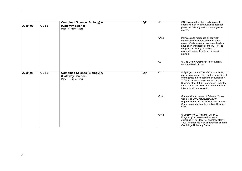| J250_07 | <b>GCSE</b> | <b>Combined Science (Biology) A</b><br>(Gateway Science)<br>Paper 7 (Higher Tier) | <b>QP</b> | $\overline{Q11}$ | OCR is aware that third party material<br>appeared in this exam but it has not been<br>possible to identify and acknowledge the<br>source.                                                                                                                                                                     |
|---------|-------------|-----------------------------------------------------------------------------------|-----------|------------------|----------------------------------------------------------------------------------------------------------------------------------------------------------------------------------------------------------------------------------------------------------------------------------------------------------------|
|         |             |                                                                                   |           | Q15b             | Permission to reproduce all copyright<br>material has been applied for. In some<br>cases, efforts to contact copyright-holders<br>have been unsuccessful and OCR will be<br>happy to rectify any omissions of<br>acknowledgements in future papers if<br>notified.                                             |
|         |             |                                                                                   |           | Q2               | © Mad Dog, Shutterstock Photo Library,<br>www.shutterstock.com.                                                                                                                                                                                                                                                |
| J250_08 | <b>GCSE</b> | <b>Combined Science (Biology) A</b><br>(Gateway Science)<br>Paper 8 (Higher Tier) | <b>QP</b> | Q11c             | © Springer Nature, The effects of altitude,<br>aspect, grazing and time on the proportion of<br>cyanogenics in neighbouring populations of<br>Trifolium repens L, www.nature.com, AJ<br>Richards et al, 2002. Reproduced under the<br>terms of the Creative Commons Attribution<br>International License v4.0. |
|         |             |                                                                                   |           | Q13bi            | © International Journal of Science, Yutaka<br>Ueda et al, www.nature.com, 2019.<br>Reproduced under the terms of the Creative<br>Commons Attribution International License<br>V4.0.                                                                                                                            |
|         |             |                                                                                   |           | Q15b             | © Butterworth J, Walker F, Lysak S,<br>Pregnancy increases median nerve<br>susceptibility to lidocaine. Anesthesiology.<br>1990. Reproduced with kind permission from<br>Cambridge University Press.                                                                                                           |

 $\Delta \sim 1$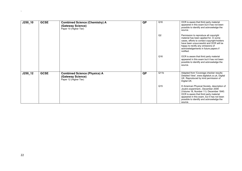| $J250_10$  | <b>GCSE</b> | <b>Combined Science (Chemistry) A</b><br>(Gateway Science)<br>Paper 10 (Higher Tier) | <b>QP</b> | Q16             | OCR is aware that third party material<br>appeared in this exam but it has not been<br>possible to identify and acknowledge the<br>source.                                                                                                                                 |
|------------|-------------|--------------------------------------------------------------------------------------|-----------|-----------------|----------------------------------------------------------------------------------------------------------------------------------------------------------------------------------------------------------------------------------------------------------------------------|
|            |             |                                                                                      |           | Q2              | Permission to reproduce all copyright<br>material has been applied for. In some<br>cases, efforts to contact copyright-holders<br>have been unsuccessful and OCR will be<br>happy to rectify any omissions of<br>acknowledgements in future papers if<br>notified.         |
|            |             |                                                                                      |           | Q16             | OCR is aware that third party material<br>appeared in this exam but it has not been<br>possible to identify and acknowledge the<br>source.                                                                                                                                 |
| $J250_112$ | <b>GCSE</b> | <b>Combined Science (Physics) A</b><br>(Gateway Science)<br>Paper 12 (Higher Tier)   | <b>QP</b> | Q11b            | Adapted from 'Coverage checker results:<br>Detailed View', www.digitaluk.co.uk, Digital<br>UK. Reproduced by kind permission of<br>Digital UK.                                                                                                                             |
|            |             |                                                                                      |           | Q <sub>15</sub> | © American Physical Society, description of<br>Joule's experiment., December 2009<br>(Volume 18, Number 11): December 1840.<br>OCR is aware that third party material<br>appeared in this exam, but it has not been<br>possible to identify and acknowledge the<br>source. |

 $\Delta_{\rm{max}}$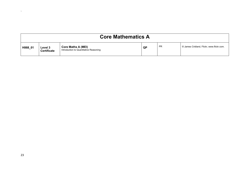| <b>Core Mathematics A</b> |                                      |                                                                     |    |    |                                           |  |  |
|---------------------------|--------------------------------------|---------------------------------------------------------------------|----|----|-------------------------------------------|--|--|
| H868_01                   | <b>Level 3</b><br><b>Certificate</b> | <b>Core Maths A (MEI)</b><br>Introduction to Quantitative Reasoning | QP | PR | © James Cridland, Flickr, www.flickr.com. |  |  |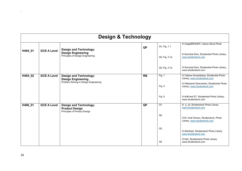|         | <b>Design &amp; Technology</b> |                                                                                                |           |                               |                                                                                                        |  |  |  |
|---------|--------------------------------|------------------------------------------------------------------------------------------------|-----------|-------------------------------|--------------------------------------------------------------------------------------------------------|--|--|--|
| H404_01 | <b>GCE A Level</b>             | <b>Design and Technology:</b><br><b>Design Engineering</b><br>Principles of Design Engineering | QP        | Q1, Fig. 1.1<br>Q3, Fig. 3.1a | © imageBROKER / Alamy Stock Photo<br>© Somchai Som, Shutterstok Photo Library,<br>www.shutterstock.com |  |  |  |
|         |                                |                                                                                                |           | Q3, Fig. 3.1b                 | © Somchai Som, Shutterstok Photo Library,<br>www.shutterstock.com                                      |  |  |  |
| H404_02 | <b>GCE A Level</b>             | <b>Design and Technology:</b><br><b>Design Engineering</b>                                     | <b>RB</b> | Fig. 1                        | © Tatiana Grozetskaya, Shutterstok Photo<br>Library, www.shutterstock.com                              |  |  |  |
|         |                                | Problem Solving in Design Engineering                                                          |           | Fig. 3                        | © Oleksandr Derevianko, Shutterstok Photo<br>Library, www.shutterstock.com                             |  |  |  |
|         |                                |                                                                                                |           | Fig. $5$                      | © ArtEvent ET, Shutterstok Photo Library,<br>www.shutterstock.com                                      |  |  |  |
| H406_01 | <b>GCE A Level</b>             | <b>Design and Technology:</b><br><b>Product Design</b><br>Principles of Product Design         | QP        | Q <sub>1</sub>                | © Li Al, Shutterstock Photo Library<br>www.shutterstock.com                                            |  |  |  |
|         |                                |                                                                                                |           | Q2                            | © M. Unal Ozmen, Shutterstock, Photo<br>Library, www.shutterstock.com                                  |  |  |  |
|         |                                |                                                                                                |           | Q <sub>3</sub>                | © AlenKadr, Shutterstock Photo Library<br>www.shutterstock.com                                         |  |  |  |
|         |                                |                                                                                                |           | Q4                            | © He2, Shutterstock Photo Library<br>www.shutterstock.com                                              |  |  |  |

 $\mathbf{v}$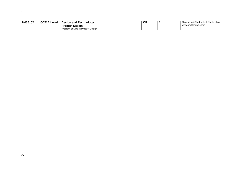| H406<br>02 | <b>GCE A Level</b> | <b>Design and Technology:</b>     | QP | © anueing / Shutterstock Photo Library |
|------------|--------------------|-----------------------------------|----|----------------------------------------|
|            |                    | <b>Product Design</b>             |    | www.shutterstock.com                   |
|            |                    | Problem Solving in Product Design |    |                                        |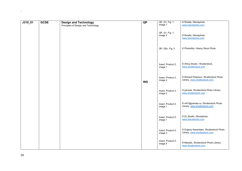| $J310_01$ | <b>GCSE</b> | <b>Design and Technology</b>        | QP         | QP, Q1, Fig. 1,               | © Rinelle, iStockphoto,                          |
|-----------|-------------|-------------------------------------|------------|-------------------------------|--------------------------------------------------|
|           |             | Principles of Design and Technology |            | image 1                       | www.istockphoto.com                              |
|           |             |                                     |            |                               |                                                  |
|           |             |                                     |            | QP, Q1, Fig. 1,               |                                                  |
|           |             |                                     |            | image 2                       | © Rinelle, iStockphoto,                          |
|           |             |                                     |            |                               | www.istockphoto.com                              |
|           |             |                                     |            |                               |                                                  |
|           |             |                                     |            |                               |                                                  |
|           |             |                                     |            | QP, Q5c, Fig. 5               | © PhotoAlto / Alamy Stock Photo                  |
|           |             |                                     |            |                               |                                                  |
|           |             |                                     |            |                               |                                                  |
|           |             |                                     |            |                               |                                                  |
|           |             |                                     |            | Insert, Product 2,            | © Africa Studio / Shutterstock,                  |
|           |             |                                     |            | image 1                       | www.shutterstock.com                             |
|           |             |                                     |            |                               |                                                  |
|           |             |                                     |            |                               |                                                  |
|           |             |                                     |            | Insert, Product 2,            | © Richard Peterson, Shutterstock Photo           |
|           |             |                                     |            | image 2                       | Library, www.shutterstock.com.                   |
|           |             |                                     | <b>INS</b> |                               |                                                  |
|           |             |                                     |            |                               |                                                  |
|           |             |                                     |            | Insert, Product 3,            | © jukurae, Shutterstock Photo Library,           |
|           |             |                                     |            | image 2                       | www.shutterstock.com                             |
|           |             |                                     |            |                               |                                                  |
|           |             |                                     |            |                               |                                                  |
|           |             |                                     |            | Insert, Product 4,            | © r401@yandex.ru, Shutterstock Photo             |
|           |             |                                     |            | image 1                       | Library, www.shutterstock.com                    |
|           |             |                                     |            |                               |                                                  |
|           |             |                                     |            |                               |                                                  |
|           |             |                                     |            | Insert, Product 5,            | © Di_Studio, iStockphoto,<br>www.istockphoto.com |
|           |             |                                     |            | image 1                       |                                                  |
|           |             |                                     |            |                               |                                                  |
|           |             |                                     |            | Insert, Product 5,            | © Evgeny Karandaev, Shutterstock Photo           |
|           |             |                                     |            | image 2                       | Library, www.shutterstock.com.                   |
|           |             |                                     |            |                               |                                                  |
|           |             |                                     |            |                               |                                                  |
|           |             |                                     |            | Insert, Product 5,<br>image 4 | © MaraZe, Shutterstock Photo Library,            |
|           |             |                                     |            |                               | www.shutterstock.com                             |
|           |             |                                     |            |                               |                                                  |

 $\Delta$  .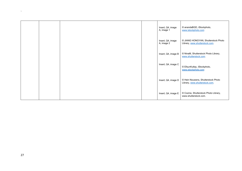|  |  | Insert, Q4, image<br>A, image 1 | © anandaBGD, iStockphoto,<br>www.istockphoto.com                      |
|--|--|---------------------------------|-----------------------------------------------------------------------|
|  |  | Insert, Q4, image<br>A, image 2 | © JIANG HONGYAN, Shutterstock Photo<br>Library, www.shutterstock.com. |
|  |  | Insert, Q4, image B             | © NinaM, Shutterstock Photo Library,<br>www.shutterstock.com          |
|  |  | Insert, Q4, image C             | © EfsunKutlay, iStockphoto,<br>www.istockphoto.com                    |
|  |  | Insert, Q4, image D             | © Hein Nouwens, Shutterstock Photo<br>Library, www.shutterstock.com.  |
|  |  | Insert, Q4, image E             | © Cozine, Shutterstock Photo Library,<br>www.shutterstock.com.        |

 $\Delta \sim 10^{11}$  m  $^{-1}$  .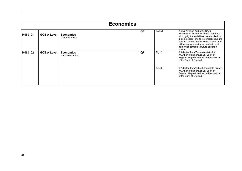| <b>Economics</b> |                    |                                           |           |        |                                                                                                                                                                                                                                                                                                                         |  |  |
|------------------|--------------------|-------------------------------------------|-----------|--------|-------------------------------------------------------------------------------------------------------------------------------------------------------------------------------------------------------------------------------------------------------------------------------------------------------------------------|--|--|
| H460 01          | <b>GCE A Level</b> | <b>Economics</b><br><b>Microeconomics</b> | <b>QP</b> | Table1 | © Civil Aviation Authority (CAA),<br>www.caa.co.uk. Permission to reproduce<br>all copyright material has been applied for.<br>In some cases, efforts to contact copyright-<br>holders have been unsuccessful and OCR<br>will be happy to rectify any omissions of<br>acknowledgements in future papers if<br>notified. |  |  |
| H460_02          | <b>GCE A Level</b> | <b>Economics</b><br>Macroeconomics        | <b>QP</b> | Fig. 2 | © Adapted from 'Banknote statistics',<br>www.bankofengland.co.uk, Bank of<br>England. Reproduced by kind permission<br>of the Bank of England.                                                                                                                                                                          |  |  |
|                  |                    |                                           |           | Fig. 3 | © Adapted from 'Official Bank Rate history',<br>www.bankofengland.co.uk, Bank of<br>England. Reproduced by kind permission<br>of the Bank of England.                                                                                                                                                                   |  |  |

 $\Delta\sim 10^4$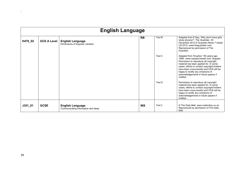|           | <b>English Language</b> |                                                                |            |        |                                                                                                                                                                                                                                                                                                                                                      |  |  |
|-----------|-------------------------|----------------------------------------------------------------|------------|--------|------------------------------------------------------------------------------------------------------------------------------------------------------------------------------------------------------------------------------------------------------------------------------------------------------------------------------------------------------|--|--|
| H470_02   | <b>GCE A Level</b>      | <b>English Language</b><br>Dimensions of linguistic variation  | <b>RB</b>  | Text B | Adapted from E Day, 'Why don't more girls<br>study physics?', The Guardian, 30<br>December 2012 © Guardian News 7 media<br>Ltd 2012, www.theguardian.com.<br>Reproduced by permission of The<br>Guardian.                                                                                                                                            |  |  |
|           |                         |                                                                |            | Text C | Adapted from 'Eruption 150 years ago,<br>1868', www.nupepa-hawaii.com, Nupepa.<br>Permission to reproduce all copyright<br>material has been applied for. In some<br>cases, efforts to contact copyright-holders<br>have been unsuccessful and OCR will be<br>happy to rectify any omissions of<br>acknowledgements in future papers if<br>notified. |  |  |
|           |                         |                                                                |            | Text D | Permission to reproduce all copyright<br>material has been applied for. In some<br>cases, efforts to contact copyright-holders<br>have been unsuccessful and OCR will be<br>happy to rectify any omissions of<br>acknowledgements in future papers if<br>notified.                                                                                   |  |  |
| $J351_01$ | <b>GCSE</b>             | <b>English Language</b><br>Communicating information and ideas | <b>INS</b> | Text 2 | © The Daily Mail, www.mailonline.co.uk.<br>Reproduced by permission of The Daily<br>Mail.                                                                                                                                                                                                                                                            |  |  |

 $\bar{\mathbf{v}}$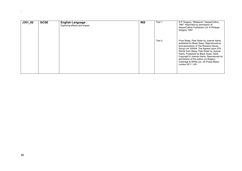| $J351_02$ | <b>GCSE</b> | <b>English Language</b><br>Exploring effects and impact | <b>INS</b> | Text 1 | © P Gregory, 'Wideacre', HarperCollins,<br>1987. Reprinted by permission of<br>HarperCollins Publishers Ltd. © Philippa<br>Gregory 1987.                                                                                                                                                                                                                                                                 |
|-----------|-------------|---------------------------------------------------------|------------|--------|----------------------------------------------------------------------------------------------------------------------------------------------------------------------------------------------------------------------------------------------------------------------------------------------------------------------------------------------------------------------------------------------------------|
|           |             |                                                         |            | Text 2 | From Sleep, Pale Sister by Joanne Harris<br>published by Black Swan. Reproduced by<br>kind permission of The Random House<br>Group Ltd. ©2004. The Agreed Upon 279<br>Words from Sleep, Pale Sister by Joanne<br>Harris. Published by Black Swan, 2004.<br>Copyright © Joanne Harris. Reproduced by<br>permission of the author c/o Rogers,<br>Coleridge & White Ltd., 20 Powis Mews,<br>London W11 1JN. |

 $\Delta \sim 10^4$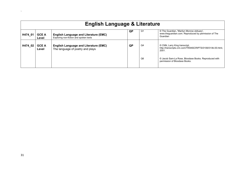| <b>English Language &amp; Literature</b> |                       |                                                                                        |           |                |                                                                                                                |  |  |
|------------------------------------------|-----------------------|----------------------------------------------------------------------------------------|-----------|----------------|----------------------------------------------------------------------------------------------------------------|--|--|
| H474_01                                  | <b>GCE A</b><br>Level | <b>English Language and Literature (EMC)</b><br>Exploring non-fiction and spoken texts | QP.       | Q1             | © The Guardian, 'Marilyn Monroe obituary',<br>www.thequardian.com. Reproduced by permission of The<br>Guardian |  |  |
| H474_02                                  | <b>GCE A</b><br>Level | <b>English Language and Literature (EMC)</b><br>The language of poetry and plays       | <b>QP</b> | Q4             | © CNN, Larry King transcript,<br>http://transcripts.cnn.com/TRANSCRIPTS/0106/01/lkl.00.html,<br>2001.          |  |  |
|                                          |                       |                                                                                        |           | Q <sub>6</sub> | © Jacob Sam-La Rose, Bloodaxe Books. Reproduced with<br>permission of Bloodaxe Books.                          |  |  |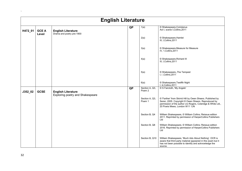|         | <b>English Literature</b> |                                                               |                 |                          |                                                                                                                                                                                                                    |  |  |
|---------|---------------------------|---------------------------------------------------------------|-----------------|--------------------------|--------------------------------------------------------------------------------------------------------------------------------------------------------------------------------------------------------------------|--|--|
| H472_01 | <b>GCE A</b><br>Level     | <b>English Literature</b><br>Drama and poetry pre-1900        | <b>QP</b>       | 1(a)                     | © Shakespeare, Coriolanus<br>Act I, scene I, Collins, 2011                                                                                                                                                         |  |  |
|         |                           |                                                               |                 | 2(a)                     | © Shakespeare, Hamlet<br>III, I, Collins, 2011                                                                                                                                                                     |  |  |
|         |                           |                                                               |                 | 3(a)                     | © Shakespeare, Measure for Measure<br>IV, 1, Collins, 2011                                                                                                                                                         |  |  |
|         |                           |                                                               |                 | 4(a)                     | © Shakespeare, Richard III<br>III, I, Collins, 2011                                                                                                                                                                |  |  |
|         |                           |                                                               |                 | 5(a)                     | © Shakespeare, The Tempest<br>I, i, Collins, 2011                                                                                                                                                                  |  |  |
|         |                           |                                                               |                 | 6(a)                     | © Shakespeare, Twelfth Night<br>I, iii, Collins, 2011                                                                                                                                                              |  |  |
| J352_02 | <b>GCSE</b>               | <b>English Literature</b><br>Exploring poetry and Shakespeare | $\overline{QP}$ | Section A, Q3,<br>Poem 2 | © S Faircloth, 'My Angels'                                                                                                                                                                                         |  |  |
|         |                           |                                                               |                 | Section A, Q3,<br>Poem 1 | © 'Farther' from Skirrid Hill by Owen Sheers. Published by<br>Seren, 2005. Copyright © Owen Sheers. Reproduced by<br>permission of the author c/o Rogers, Coleridge & White Ltd.,<br>20 Powis Mews, London W11 1JN |  |  |
|         |                           |                                                               |                 | Section B, Q4            | William Shakespeare, © William Collins; Reissue edition<br>2011. Reprinted by permission of HarperCollins Publishers<br>Ltd                                                                                        |  |  |
|         |                           |                                                               |                 | Section B, Q8            | William Shakespeare, © William Collins; Reissue edition<br>2016. Reprinted by permission of HarperCollins Publishers<br>Ltd                                                                                        |  |  |
|         |                           |                                                               |                 | Section B, Q10           | William Shakespeare, 'Much Ado About Nothing'. OCR is<br>aware that third party material appeared in this exam but it<br>has not been possible to identify and acknowledge the<br>source.                          |  |  |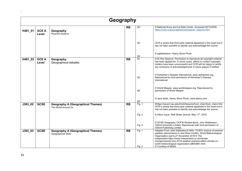|         | Geography             |                                                                 |           |                    |                                                                                                                                                                                                                                                                                                                                                                              |  |  |  |  |
|---------|-----------------------|-----------------------------------------------------------------|-----------|--------------------|------------------------------------------------------------------------------------------------------------------------------------------------------------------------------------------------------------------------------------------------------------------------------------------------------------------------------------------------------------------------------|--|--|--|--|
| H481_01 | <b>GCE A</b><br>Level | Geography<br>Physical systems                                   | <b>RB</b> | Q2                 | © National Snow and Ice Data Center. Accessed 02/12/2020.<br>https://nsidc.org/cryosphere/sotc/glacier_balance.html                                                                                                                                                                                                                                                          |  |  |  |  |
|         |                       |                                                                 |           | Q3                 | OCR is aware that third party material appeared in this exam but it<br>has not been possible to identify and acknowledge the source.                                                                                                                                                                                                                                         |  |  |  |  |
|         |                       |                                                                 |           | Q4                 | © agefotostock / Alamy Stock Photo                                                                                                                                                                                                                                                                                                                                           |  |  |  |  |
| H481_03 | <b>GCE A</b><br>Level | Geography<br>Geographical debates                               | <b>RB</b> | $\overline{Q1}$    | © Dr Roy Spencer. Permission to reproduce all copyright material<br>has been applied for. In some cases, efforts to contact copyright-<br>holders have been unsuccessful and OCR will be happy to rectify<br>any omissions of acknowledgements in future papers if notified.                                                                                                 |  |  |  |  |
|         |                       |                                                                 |           | Q2                 | © Alzheimer's Disease International, www.alzheimers.org.<br>Reproduced by kind permission of Alzheimer's Disease<br>International.                                                                                                                                                                                                                                           |  |  |  |  |
|         |                       |                                                                 |           | Q4                 | © World Mapper, www.worldmapper.org. Reproduced by<br>permission of World Mapper.                                                                                                                                                                                                                                                                                            |  |  |  |  |
|         |                       |                                                                 |           | Q <sub>5</sub>     | © Jens Ickler, Alamy Stock Photo, www.alamy.com                                                                                                                                                                                                                                                                                                                              |  |  |  |  |
| J383_02 | <b>GCSE</b>           | <b>Geography A (Geographical Themes)</b><br>The World Around Us | <b>RB</b> | Fig. 1             | ©https://www2.nau.edu/lrm22/lessons/food chain/food chain.html.<br>OCR is aware that third party material appeared in this exam but it<br>has not been possible to identify and acknowledge the source.                                                                                                                                                                      |  |  |  |  |
|         |                       |                                                                 |           | Fig. 2             | © Allion Joyce, Wall Street Journal, May 11 <sup>th</sup> , 2016                                                                                                                                                                                                                                                                                                             |  |  |  |  |
|         |                       |                                                                 |           | Fig. 4             | © GCSE Geography OCR B Student Book, John Widdowson,<br>Oxford University Limited. Reproduced with kind permission of<br>Oxford Publishing Limited.                                                                                                                                                                                                                          |  |  |  |  |
| J383_03 | <b>GCSE</b>           | <b>Geography A (Geographical Themes)</b><br>Geographical Skills | <b>RB</b> | Fig. 1<br>Fig. $2$ | Adapted From Josh Gabbatiss, El Niño: 75-80% chance of extreme<br>weather phenomenon in next three months, World Meteorological<br>Organisation warns, 27 November 2018 © The<br>Independent, https://www.independent.co.uk/climate-<br>change/news/el-nino-2019-weather-extreme-effect-climate-un-<br>world-meteorological-organisation-a8653861.html<br>© Courtesy of NASA |  |  |  |  |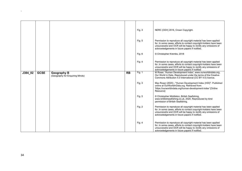|         |             |                                                       |           | Fig. 3   | NERC (CEH) 2016, Crown Copyright.                                                                                                                                                                                                                         |
|---------|-------------|-------------------------------------------------------|-----------|----------|-----------------------------------------------------------------------------------------------------------------------------------------------------------------------------------------------------------------------------------------------------------|
|         |             |                                                       |           | Fig. $5$ | Permission to reproduce all copyright material has been applied<br>for. In some cases, efforts to contact copyright-holders have been<br>unsuccessful and OCR will be happy to rectify any omissions of<br>acknowledgements in future papers if notified. |
|         |             |                                                       |           | Fig. 6   | © Christopher Krembs, 2018                                                                                                                                                                                                                                |
|         |             |                                                       |           | Fig. 4   | Permission to reproduce all copyright material has been applied<br>for. In some cases, efforts to contact copyright-holders have been<br>unsuccessful and OCR will be happy to rectify any omissions of<br>acknowledgements in future papers if notified  |
| J384 02 | <b>GCSE</b> | <b>Geography B</b><br>(Geography for Enquiring Minds) | <b>RB</b> | Fig. 1   | M Roser, 'Human Development Index', www.ourworldindata.org,<br>Our World in Data. Reproduced under the terms of the Creative<br>Commons Attribution 4.0 International (CC BY 4.0) licence.                                                                |
|         |             |                                                       |           | Fig. 3   | Max Roser (2020) - "Human Development Index (HDI)". Published<br>online at OurWorldInData.org. Retrieved from:<br>'https://ourworldindata.org/human-development-index' [Online<br>Resource]                                                               |
|         |             |                                                       |           | Fig. 5   | © Christopher Middleton, British Seafishing,<br>www.brititishseafishing.co.uk, 2020. Reproduced by kind<br>permission of British Seafishing.                                                                                                              |
|         |             |                                                       |           | Fig. 2   | Permission to reproduce all copyright material has been applied<br>for. In some cases, efforts to contact copyright-holders have been<br>unsuccessful and OCR will be happy to rectify any omissions of<br>acknowledgements in future papers if notified. |
|         |             |                                                       |           | Fig. 4   | Permission to reproduce all copyright material has been applied<br>for. In some cases, efforts to contact copyright-holders have been<br>unsuccessful and OCR will be happy to rectify any omissions of<br>acknowledgements in future papers if notified. |

 $\hat{\mathbf{v}}$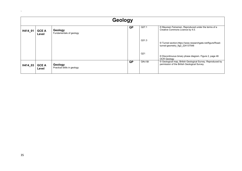|         | Geology               |                                        |           |                 |                                                                                                            |  |  |  |
|---------|-----------------------|----------------------------------------|-----------|-----------------|------------------------------------------------------------------------------------------------------------|--|--|--|
| H414_01 | <b>GCE A</b><br>Level | Geology<br>Fundamentals of geology     | QP        | Q27.1           | © Maureen Feinemen. Reproduced under the terms of a<br>Creative Commons Licence by 4.0.                    |  |  |  |
|         |                       |                                        |           | Q31.3           | © Tunnel section, https://www.researchgate.net/figure/Road-<br>tunnel-geometry_fig2_224137548              |  |  |  |
|         |                       |                                        |           | Q <sub>21</sub> | © Discontinuous binary phase diagram. Figure 2, page 46<br>OCR Geology                                     |  |  |  |
| H414_03 | <b>GCE A</b><br>Level | Geology<br>Practical skills in geology | <b>QP</b> | Q4ci ⅈ          | © Geological map, British Geological Survey. Reproduced by<br>permission of the British Geological Survey. |  |  |  |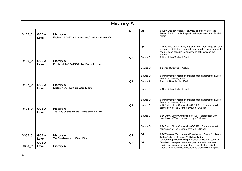|         | <b>History A</b>      |                                                                             |           |                |                                                                                                                                                                                                   |  |  |  |  |
|---------|-----------------------|-----------------------------------------------------------------------------|-----------|----------------|---------------------------------------------------------------------------------------------------------------------------------------------------------------------------------------------------|--|--|--|--|
| Y105_01 | <b>GCE A</b><br>Level | <b>History A</b><br>England 1445-1509: Lancastrians, Yorkists and Henry VII | <b>QP</b> | Q1             | © Keith Dockray, Margaret of Anjou and the Wars of the<br>Roses, Fonthill Media. Reproduced by permission of Fonthill<br>Media                                                                    |  |  |  |  |
|         |                       |                                                                             |           | Q <sub>1</sub> | © N Fellows and S Littler, England 1445-1509. Page 68. OCR<br>is aware that third party material appeared in this exam but it<br>has not been possible to identify and acknowledge the<br>source. |  |  |  |  |
| Y106_01 | <b>GCE A</b>          | <b>History A</b>                                                            | QP        | Source B       | © Chronicle of Richard Grafton                                                                                                                                                                    |  |  |  |  |
|         | Level                 | England 1485-1558: the Early Tudors                                         |           |                |                                                                                                                                                                                                   |  |  |  |  |
|         |                       |                                                                             |           | Source C       | © Letter, Burgoyne to Calvin                                                                                                                                                                      |  |  |  |  |
|         |                       |                                                                             |           | Source D       | © Parliamentary record of changes made against the Duke of<br>Somerset, January 1552.                                                                                                             |  |  |  |  |
| Y107_01 | <b>GCE A</b>          | <b>History A</b>                                                            | <b>QP</b> | Source A       | © Act of Attainder Jan 1548                                                                                                                                                                       |  |  |  |  |
|         | Level                 | England 1547-1603: the Later Tudors                                         |           | Source B       | © Chronicle of Richard Grafton                                                                                                                                                                    |  |  |  |  |
|         |                       |                                                                             |           | Source D       | © Parliamentary record of changes made against the Duke of<br>Somerset, January 1552.                                                                                                             |  |  |  |  |
| Y108_01 | <b>GCE A</b><br>Level | <b>History A</b><br>The Early Stuarts and the Origins of the Civil War      | QP        | Source A       | © D Smith, Oliver Cromwell, p86-7,1991. Reproduced with<br>permission of The Licensor through PLSclear.                                                                                           |  |  |  |  |
|         |                       |                                                                             |           | Source C       | © D Smith, Oliver Cromwell, p87,1991. Reproduced with<br>permission of The Licensor through PLSclear                                                                                              |  |  |  |  |
|         |                       |                                                                             |           | Source D       | © D Smith, Oliver Cromwell, p87-8,1991. Reproduced with<br>permission of The Licensor through PLSclear                                                                                            |  |  |  |  |
| Y305_01 | <b>GCE A</b><br>Level | <b>History A</b><br>The Renaissance c.1400-c.1600                           | <b>QP</b> | Q <sub>1</sub> | © D Weinstein, 'Savonarola - Preacher and Patriot?', History<br>Today, Volume 39, Issue 11, History Today<br>Ltd, 1989. Reproduced with permission of History Today Ltd.                          |  |  |  |  |
| Y308_01 | <b>GCE A</b><br>Level | <b>History A</b>                                                            | QP        | Q <sub>1</sub> | Permission to reproduce all copyright material has been<br>applied for. In some cases, efforts to contact copyright-<br>holders have been unsuccessful and OCR will be happy to                   |  |  |  |  |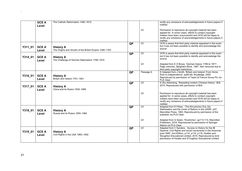|         | <b>GCE A</b><br>Level | The Catholic Reformation 1492-1610                                         |           |                 | rectify any omissions of acknowledgements in future papers if<br>notified.                                                                                                                                                                                                                         |
|---------|-----------------------|----------------------------------------------------------------------------|-----------|-----------------|----------------------------------------------------------------------------------------------------------------------------------------------------------------------------------------------------------------------------------------------------------------------------------------------------|
|         |                       |                                                                            |           | Q <sub>1</sub>  | Permission to reproduce all copyright material has been<br>applied for. In some cases, efforts to contact copyright-<br>holders have been unsuccessful and OCR will be happy to<br>rectify any omissions of acknowledgements in future papers if<br>notified.                                      |
| Y311_01 | <b>GCE A</b><br>Level | <b>History A</b><br>The Origins and Growth of the British Empire 1558-1783 | <b>QP</b> | Q <sub>1</sub>  | OCR is aware that third party material appeared in this exam<br>but it has not been possible to identify and acknowledge the<br>source                                                                                                                                                             |
| Y314_01 | <b>GCE A</b><br>Level | <b>History A</b><br>The Challenge of German Nationalism 1789-1919          | <b>QP</b> | Q <sub>1</sub>  | OCR is aware that third party material appeared in this exam<br>but it has not been possible to identify and acknowledge the<br>source.                                                                                                                                                            |
|         |                       |                                                                            |           | Q <sub>1</sub>  | Adapted from E D Brose, 'German history 1789 to 1871',<br>Page unknown, Berghahn Book, 1997. Item removed due to<br>third party copyright restrictions.                                                                                                                                            |
| Y316_01 | <b>GCE A</b><br>Level | <b>History A</b><br>Britain and Ireland 1791-1921                          | QP        | Passage A       | © Adapted from J Smith, 'Britain and Ireland: From Home<br>Rule to Independence', pp65-69, Routledge, 2000.<br>Reprodcued by permission of Taylor & Francis Group Plc via<br>PLS Clear.                                                                                                            |
| Y317_01 | <b>GCE A</b><br>Level | <b>History A</b><br>China and its Rulers 1839-1989                         | QP        | Q <sub>1</sub>  | © Zhu Weizheng, 'Rereading modern Chinese History', Brill,<br>2015. Reproduced with permission of Brill.                                                                                                                                                                                           |
|         |                       |                                                                            |           | Q <sub>1</sub>  | Permission to reproduce all copyright material has been<br>applied for. In some cases, efforts to contact copyright-<br>holders have been unsuccessful and OCR will be happy to<br>rectify any omissions of acknowledgements in future papers if<br>notified.                                      |
| Y318_01 | <b>GCE A</b><br>Level | <b>History A</b><br>Russia and its Rulers 1855-1964                        | <b>QP</b> | $\overline{Q1}$ | Adapted from D Filtzer, ' The Khrushchev Era: De-<br>Stalinisation and the Limits of Reform in the USSR', p57,<br>Macmillan Press, 1993. Reproduced by permission of the<br>publisher via PLS Clear                                                                                                |
|         |                       |                                                                            |           | Q <sub>1</sub>  | Adapted from G Swain, 'Krushchev', pp113-114, Macmillan<br>Publishers, 2016. Reproduced by permission of Springer<br>Nature via PLS Clear.                                                                                                                                                         |
| Y319_01 | <b>GCE A</b><br>Level | <b>History A</b><br>Civil Rights in the USA 1865-1992                      | QP        | Q <sub>1</sub>  | Adapted from V Sanders, 'Access to History for the IB<br>Diploma: Civil Rights and social movements in the Americas<br>post-1945', 2nd Edition, p114, p116, p119, Hodder and<br>Stoughton Educational Limited, 2016. Reproduced by kind<br>permission of Hodder and SToughton Educational Limited. |

 $\Delta \sim 10^{11}$  m  $^{-1}$  m  $^{-1}$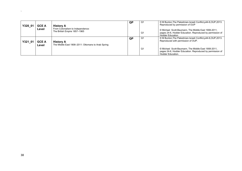| Y320 01 | <b>GCE A</b>          | <b>History A</b>                                                       | QP | Q <sub>1</sub> | © M Bunton, The Palestinian-Israeli Conflict, p44-6, OUP, 2013.<br>Reproduced by permission of OUP                                          |
|---------|-----------------------|------------------------------------------------------------------------|----|----------------|---------------------------------------------------------------------------------------------------------------------------------------------|
|         | Level                 | From Colonialism to Independence:<br>The British Empire 1857-1965      |    | Q1             | © Michael Scott-Baumann, The Middle East 1908-2011,<br>pages 24-6, Hodder Education. Reproduced by permission of<br><b>Hodder Education</b> |
| Y321 01 | <b>GCE A</b><br>Level | <b>History A</b><br>The Middle East 1908–2011: Ottomans to Arab Spring | QP | Q <sup>1</sup> | © M Bunton, The Palestinian-Israeli Conflict, p44-6, OUP, 2013.<br>Reproduced with permission of OUP.                                       |
|         |                       |                                                                        |    | Q1             | © Michael Scott-Baumann, The Middle East 1908-2011,<br>pages 24-6, Hodder Education. Reproduced by permission of<br>Hodder Education.       |

 $\Delta \sim 1$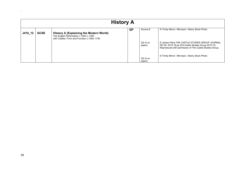|         | <b>History A</b> |                                                                                                                                        |           |                    |                                                                                                                                                                      |  |  |  |  |  |
|---------|------------------|----------------------------------------------------------------------------------------------------------------------------------------|-----------|--------------------|----------------------------------------------------------------------------------------------------------------------------------------------------------------------|--|--|--|--|--|
| J410_12 | <b>GCSE</b>      | <b>History A (Explaining the Modern World)</b><br>The English Reformation c.1520-c.1550<br>with Castles: Form and Function c.1000-1750 | <b>QP</b> | Source E           | © Trinity Mirror / Mirrorpix / Alamy Stock Photo                                                                                                                     |  |  |  |  |  |
|         |                  |                                                                                                                                        |           | Q2 (4 on<br>paper) | © James Petre, THE CASTLE STUDIES GROUP JOURNAL<br>NO 29: 2015-16, pp 223, Castle Studies Group, 2015-16.<br>Reproduced with permission of The Castle Studies Group. |  |  |  |  |  |
|         |                  |                                                                                                                                        |           | Q2 (4 on<br>paper) | © Trinity Mirror / Mirrorpix / Alamy Stock Photo                                                                                                                     |  |  |  |  |  |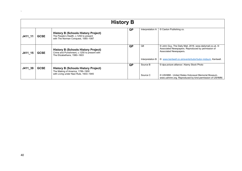|           | <b>History B</b> |                                                                                                                             |    |                  |                                                                                                                                          |  |  |  |  |  |
|-----------|------------------|-----------------------------------------------------------------------------------------------------------------------------|----|------------------|------------------------------------------------------------------------------------------------------------------------------------------|--|--|--|--|--|
| $J411_11$ | <b>GCSE</b>      | <b>History B (Schools History Project)</b><br>The People's Health, c.1250 to present<br>with The Norman Conquest, 1065-1087 | QP | Interpretation A | © Caxton Publishing co.                                                                                                                  |  |  |  |  |  |
| $J411_15$ | <b>GCSE</b>      | <b>History B (Schools History Project)</b><br>Crime and Punishment, c.1250 to present with<br>The Elizabethans, 1580-1603   | QP | Q8               | © John Guy, The Daily Mail, 2016. www.dailymail.co.uk. ©<br>Associated Newspapers. Reproduced by permission of<br>Associated Newspapers. |  |  |  |  |  |
|           |                  |                                                                                                                             |    | Interpretation B | © www.kentwell.co.uk/events/tudor/tudor-midsum, Kentwell.                                                                                |  |  |  |  |  |
| J411_39   | <b>GCSE</b>      | <b>History B (Schools History Project)</b><br>The Making of America, 1789-1900                                              | QP | Source B         | © dpa picture alliance / Alamy Stock Photo                                                                                               |  |  |  |  |  |
|           |                  | with Living under Nazi Rule, 1933-1945                                                                                      |    | Source C         | © USHMM - United States Holocaust Memorial Museum,<br>www.ushmm.org. Reproduced by kind permission of USHMM.                             |  |  |  |  |  |

 $\Delta \sim 10^{11}$  m  $^{-1}$  .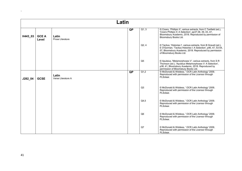|         | Latin                 |                             |           |                |                                                                                                                                                                                                                             |  |  |  |  |
|---------|-----------------------|-----------------------------|-----------|----------------|-----------------------------------------------------------------------------------------------------------------------------------------------------------------------------------------------------------------------------|--|--|--|--|
| H443_03 | <b>GCE A</b><br>Level | Latin<br>Prose Literature   | <b>QP</b> | Q1, 3          | © Cicero, 'Phillipic II', various extracts, from C Tanfield (ed.),<br>'Cicero Phillipic II: A Selection', pp37-38, 39, 43, 47,<br>Bloomsbury Academic, 2018. Reproduced by permission of<br>Bloomsbury Books Ltd.           |  |  |  |  |
|         |                       |                             |           | Q2, 4          | © Tacitus, 'Histories I', various extracts, from B Gravell (ed.),<br>E O'Gorman, 'Tacitus Histories I: A Selection', p46, 47, 53-54,<br>57, Bloomsbury Academic, 2018. Reproduced by permission<br>of Bloomsbury Books Ltd. |  |  |  |  |
|         |                       |                             |           | Q <sub>5</sub> | © Apuleius, 'Metamorphoses V', various extracts, from S R<br>Thomson (ed.), 'Apuleius Metamorphoses V: A Selection',<br>p38, 41, Bloomsbury Academic, 2018. Reproduced by<br>permission of Bloomsbury Books Ltd.            |  |  |  |  |
| J282_04 | <b>GCSE</b>           | Latin<br>Verse Literature A | QP        | Q1,2           | © McDonald & Widdess, 'OCR Latin Anthology' 2009.<br>Reproduced with permission of the Licensor through<br>PLSclear.                                                                                                        |  |  |  |  |
|         |                       |                             |           | Q3             | © McDonald & Widdess, 'OCR Latin Anthology' 2009.<br>Reproduced with permission of the Licensor through<br>PLSclear.                                                                                                        |  |  |  |  |
|         |                       |                             |           | Q4,5           | © McDonald & Widdess, 'OCR Latin Anthology' 2009.<br>Reproduced with permission of the Licensor through<br>PI Sclear                                                                                                        |  |  |  |  |
|         |                       |                             |           | Q <sub>6</sub> | © McDonald & Widdess, 'OCR Latin Anthology' 2009.<br>Reproduced with permission of the Licensor through<br>PLSclear.                                                                                                        |  |  |  |  |
|         |                       |                             |           | Q7             | © McDonald & Widdess, 'OCR Latin Anthology' 2009.<br>Reproduced with permission of the Licensor through<br>PLSclear.                                                                                                        |  |  |  |  |

 $\Delta \sim 10^{11}$  m  $^{-1}$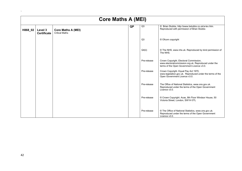|         | <b>Core Maths A (MEI)</b>     |                                                    |    |                |                                                                                                                                              |  |  |  |  |  |
|---------|-------------------------------|----------------------------------------------------|----|----------------|----------------------------------------------------------------------------------------------------------------------------------------------|--|--|--|--|--|
| H868_02 | Level 3<br><b>Certificate</b> | <b>Core Maths A (MEI)</b><br><b>Critical Maths</b> | QP | Q <sub>3</sub> | © Brian Stubbs, http://www.bstubbs.co.uk/a-lev.htm.<br>Reproduced with permission of Brian Stubbs                                            |  |  |  |  |  |
|         |                               |                                                    |    | Q3             | © Ofcom copyright                                                                                                                            |  |  |  |  |  |
|         |                               |                                                    |    | Q4(ii)         | © The NHS, www.nhs.uk. Reproduced by kind permission of<br>The NHS.                                                                          |  |  |  |  |  |
|         |                               |                                                    |    | Pre-release    | Crown Copyright. Electoral Commission,<br>www.electoralcommission.org.uk. Reproduced under the<br>terms of the Open Government Licence v3.0. |  |  |  |  |  |
|         |                               |                                                    |    | Pre-release    | Crown Copyright. Equal Pay Act 1970,<br>www.legislation.gov.uk. Reproduced under the terms of the<br>Open Government Licence v3.0.           |  |  |  |  |  |
|         |                               |                                                    |    | Pre-release    | The Office of National Statistics, www.ons.gov.uk.<br>Reproduced under the terms of the Open Government<br>Licence v3.0.                     |  |  |  |  |  |
|         |                               |                                                    |    | Pre-release    | © Crown Copyright. Acas, 8th Floor Windsor House, 50<br>Victoria Street, London, SW1H 0TL                                                    |  |  |  |  |  |
|         |                               |                                                    |    | Pre-release    | © The Office of National Statistics, www.ons.gov.uk.<br>Reproduced under the terms of the Open Government<br>Licence v3.0.                   |  |  |  |  |  |

 $\Delta \sim 10^{11}$  m  $^{-1}$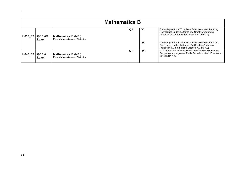|         | <b>Mathematics B</b>   |                                                                      |    |                |                                                                                                                                                                 |  |  |  |  |
|---------|------------------------|----------------------------------------------------------------------|----|----------------|-----------------------------------------------------------------------------------------------------------------------------------------------------------------|--|--|--|--|
| H630 02 | <b>GCE AS</b><br>Level | <b>Mathematics B (MEI)</b><br><b>Pure Mathematics and Statistics</b> | QP | Q6             | Data adapted from World Data Bank, www.worldbank.org.<br>Reproduced under the terms of a Creative Commons<br>Attribution 4.0 International License (CC BY 4.0). |  |  |  |  |
|         |                        |                                                                      |    | Q <sub>8</sub> | Data adapted from World Data Bank, www.worldbank.org.<br>Reproduced under the terms of a Creative Commons<br>Attribution 4.0 International License (CC BY 4.0). |  |  |  |  |
| H640 02 | <b>GCE A</b><br>Level  | <b>Mathematics B (MEI)</b><br><b>Pure Mathematics and Statistics</b> | QP | Q12            | CDC, About the National Health and Nutrition Examination<br>Survey, www.cdc.gov.uk. Public Domain content. Freedom of<br>Information Act.                       |  |  |  |  |

 $\Delta \sim 10^{11}$  and  $\Delta \sim 10^{11}$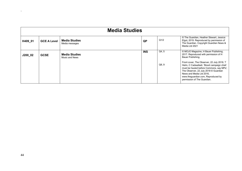|         | <b>Media Studies</b> |                                        |            |                |                                                                                                                                                                                                                                                                                                                                                                                      |  |  |  |  |
|---------|----------------------|----------------------------------------|------------|----------------|--------------------------------------------------------------------------------------------------------------------------------------------------------------------------------------------------------------------------------------------------------------------------------------------------------------------------------------------------------------------------------------|--|--|--|--|
| H409_01 | <b>GCE A Level</b>   | <b>Media Studies</b><br>Media messages | QP         | Q1/2           | © The Guardian, Heather Stewart, Jessica<br>Elgot, 2019. Reproduced by permission of<br>The Guardian. Copyright Guardian News &<br>Media Ltd 2021                                                                                                                                                                                                                                    |  |  |  |  |
| J200_02 | <b>GCSE</b>          | <b>Media Studies</b><br>Music and News | <b>INS</b> | Q4, 5<br>Q8, 9 | © MOJO Magazine, H Bauer Publishing,<br>2017. Reproduced with permission of H<br>Bauer Publishing.<br>Front cover, The Observer, 22 July 2018. T<br>Helm, C Cadwalladr, 'Brexit campaign chief<br>must be hauled before Commons, say MPs',<br>The Observer, 22 July 2018 © Guardian<br>News and Media Ltd 2016.<br>www.theguardian.com, Reproduced by<br>permission of The Guardian. |  |  |  |  |

 $\Delta \phi = 0.0000$  and  $\phi = 0.0000$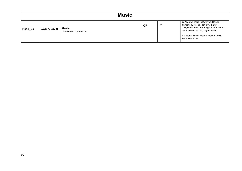| <b>Music</b> |                    |                                   |    |    |                                                                                                                                                                                                                    |  |  |
|--------------|--------------------|-----------------------------------|----|----|--------------------------------------------------------------------------------------------------------------------------------------------------------------------------------------------------------------------|--|--|
| H543_05      | <b>GCE A Level</b> | Music<br>Listening and appraising | QP | Q1 | © Adapted score in 2 staves, Haydn<br>Symphony No. 59, 4th mvt., bars 1-<br>151, Haydn Kritische Ausgabe sämtlicher<br>Symphonien, Vol.VI, pages 34-39,<br>Salzburg: Haydn-Mozart Presse, 1958.<br>Plate H.M.P. 27 |  |  |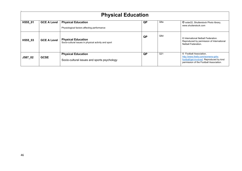|         | <b>Physical Education</b> |                                                                                   |           |                  |                                                                                                                                                       |  |  |  |  |
|---------|---------------------------|-----------------------------------------------------------------------------------|-----------|------------------|-------------------------------------------------------------------------------------------------------------------------------------------------------|--|--|--|--|
| H555_01 | <b>GCE A Level</b>        | <b>Physical Education</b><br>Physiological factors affecting performance          | <b>QP</b> | Q6a              | © solar22, Shutterstock Photo library,<br>www.shutterstock.com                                                                                        |  |  |  |  |
| H555 03 | <b>GCE A Level</b>        | <b>Physical Education</b><br>Socio-cultural issues in physical activity and sport | QP        | Q <sub>6</sub> d | © International Netball Federation.<br>Reproduced by permission of International<br>Netball Federation.                                               |  |  |  |  |
| J587_02 | <b>GCSE</b>               | <b>Physical Education</b><br>Socio-cultural issues and sports psychology          | QP        | Q <sub>21</sub>  | © Football Association,<br>http://www.thefa.com/womens-girls-<br>football/get-involved. Reproduced by kind<br>permission of the Football Association. |  |  |  |  |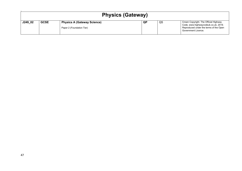| <b>Physics (Gateway)</b> |             |                                                                 |    |                |                                                                                                                         |  |  |
|--------------------------|-------------|-----------------------------------------------------------------|----|----------------|-------------------------------------------------------------------------------------------------------------------------|--|--|
| J249_02                  | <b>GCSE</b> | <b>Physics A (Gateway Science)</b><br>Paper 2 (Foundation Tier) | QP | Q <sub>5</sub> | Crown Copyright. The Official Highway<br>Code, www.highwaycodeuk.co.uk, 2019.<br>Reproduced under the terms of the Open |  |  |
|                          |             |                                                                 |    |                | Government Licence.                                                                                                     |  |  |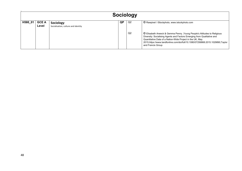| <b>Sociology</b> |                       |                                                  |    |                      |                                                                                                                                                                                                                                                                                                                                                                           |
|------------------|-----------------------|--------------------------------------------------|----|----------------------|---------------------------------------------------------------------------------------------------------------------------------------------------------------------------------------------------------------------------------------------------------------------------------------------------------------------------------------------------------------------------|
| H580_01          | <b>GCE A</b><br>Level | Sociology<br>Socialisation, culture and identity | QP | Q2<br>Q <sub>2</sub> | © Rawpixel / iStockphoto, www.istockphoto.com<br>C Elisabeth Arweck & Gemma Penny, Young People's Attitudes to Religious<br>Diversity: Socialising Agents and Factors Emerging from Qualitative and<br>Quantitative Data of a Nation-Wide Project in the UK, May<br>2015, https://www.tandfonline.com/doi/full/10.1080/07256868.2015.1029890, Taylor<br>and Francis Group |